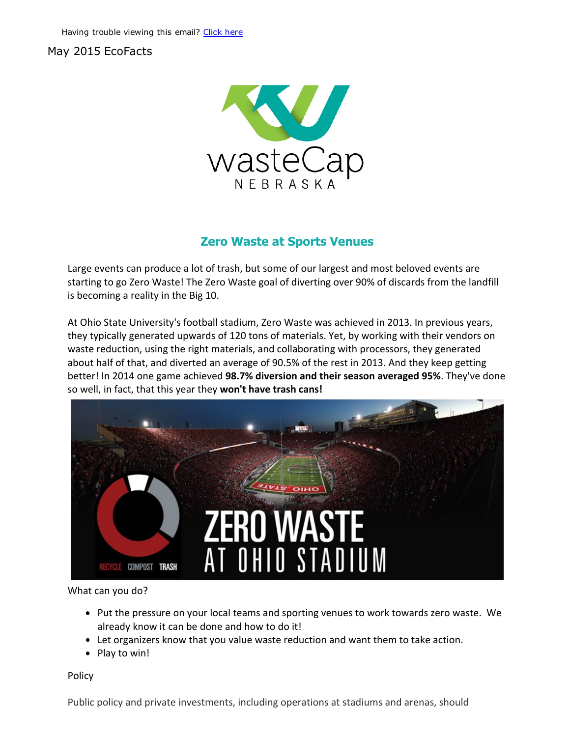## May 2015 EcoFacts



## Zero Waste at Sports Venues

Large events can produce a lot of trash, but some of our largest and most beloved events are starting to go Zero Waste! The Zero Waste goal of diverting over 90% of discards from the landfill is becoming a reality in the Big 10.

At Ohio State University's football stadium, Zero Waste was achieved in 2013. In previous years, they typically generated upwards of 120 tons of materials. Yet, by working with their vendors on waste reduction, using the right materials, and collaborating with processors, they generated about half of that, and diverted an average of 90.5% of the rest in 2013. And they keep getting better! In 2014 one game achieved 98.7% diversion and their season averaged 95%. They've done so well, in fact, that this year they won't have trash cans!



What can you do?

- Put the pressure on your local teams and sporting venues to work towards zero waste. We already know it can be done and how to do it!
- Let organizers know that you value waste reduction and want them to take action.
- Play to win!

Policy

Public policy and private investments, including operations at stadiums and arenas, should